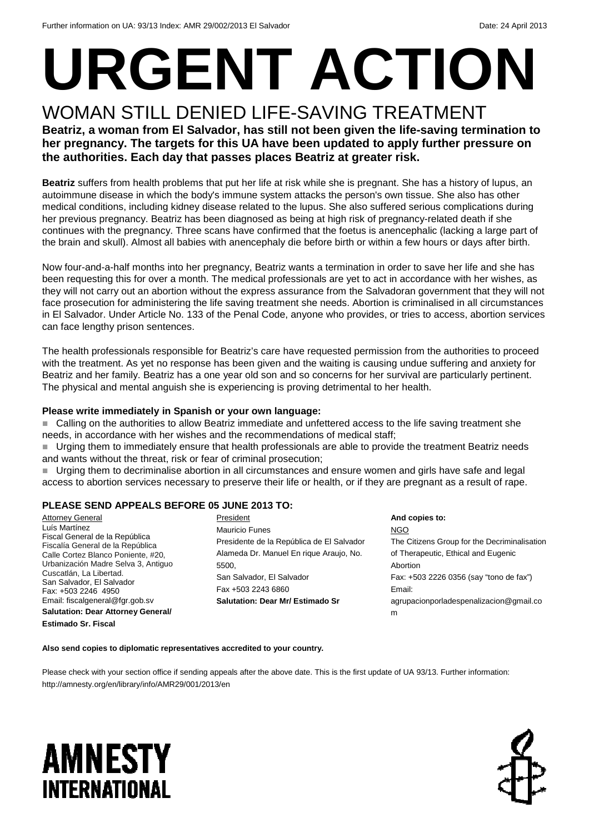# **URGENT ACTION**

### WOMAN STILL DENIED LIFE-SAVING TREATMENT **Beatriz, a woman from El Salvador, has still not been given the life-saving termination to**

**her pregnancy. The targets for this UA have been updated to apply further pressure on the authorities. Each day that passes places Beatriz at greater risk.** 

**Beatriz** suffers from health problems that put her life at risk while she is pregnant. She has a history of lupus, an autoimmune disease in which the body's immune system attacks the person's own tissue. She also has other medical conditions, including kidney disease related to the lupus. She also suffered serious complications during her previous pregnancy. Beatriz has been diagnosed as being at high risk of pregnancy-related death if she continues with the pregnancy. Three scans have confirmed that the foetus is anencephalic (lacking a large part of the brain and skull). Almost all babies with anencephaly die before birth or within a few hours or days after birth.

Now four-and-a-half months into her pregnancy, Beatriz wants a termination in order to save her life and she has been requesting this for over a month. The medical professionals are yet to act in accordance with her wishes, as they will not carry out an abortion without the express assurance from the Salvadoran government that they will not face prosecution for administering the life saving treatment she needs. Abortion is criminalised in all circumstances in El Salvador. Under Article No. 133 of the Penal Code, anyone who provides, or tries to access, abortion services can face lengthy prison sentences.

The health professionals responsible for Beatriz's care have requested permission from the authorities to proceed with the treatment. As yet no response has been given and the waiting is causing undue suffering and anxiety for Beatriz and her family. Beatriz has a one year old son and so concerns for her survival are particularly pertinent. The physical and mental anguish she is experiencing is proving detrimental to her health.

#### **Please write immediately in Spanish or your own language:**

■ Calling on the authorities to allow Beatriz immediate and unfettered access to the life saving treatment she needs, in accordance with her wishes and the recommendations of medical staff;

 Urging them to immediately ensure that health professionals are able to provide the treatment Beatriz needs and wants without the threat, risk or fear of criminal prosecution;

Urging them to decriminalise abortion in all circumstances and ensure women and girls have safe and legal access to abortion services necessary to preserve their life or health, or if they are pregnant as a result of rape.

#### **PLEASE SEND APPEALS BEFORE 05 JUNE 2013 TO:**

**Attorney General** Luís Martínez Fiscal General de la República Fiscalía General de la República Calle Cortez Blanco Poniente, #20, Urbanización Madre Selva 3, Antiguo Cuscatlán, La Libertad. San Salvador, El Salvador Fax: +503 2246 4950 Email: fiscalgeneral@fgr.gob.sv **Salutation: Dear Attorney General/** 

**Estimado Sr. Fiscal** 

President Mauricio Funes Presidente de la República de El Salvador Alameda Dr. Manuel En rique Araujo, No. 5500, San Salvador, El Salvador Fax +503 2243 6860 **Salutation: Dear Mr/ Estimado Sr** 

**And copies to:**  NGO The Citizens Group for the Decriminalisation of Therapeutic, Ethical and Eugenic Abortion Fax: +503 2226 0356 (say "tono de fax") Email: agrupacionporladespenalizacion@gmail.co m

**Also send copies to diplomatic representatives accredited to your country.** 

Please check with your section office if sending appeals after the above date. This is the first update of UA 93/13. Further information: http://amnesty.org/en/library/info/AMR29/001/2013/en